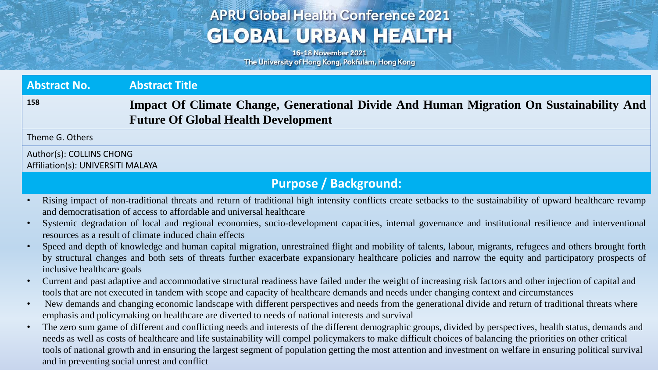## **APRU Global Health Conference 2021 GLOBAL URBAN HEALTH**

16-18 November 2021 The University of Hong Kong, Pokfulam, Hong Kong

| <b>Abstract No.</b>                                           | <b>Abstract Title</b>                                                                                                                 |
|---------------------------------------------------------------|---------------------------------------------------------------------------------------------------------------------------------------|
| 158                                                           | Impact Of Climate Change, Generational Divide And Human Migration On Sustainability And<br><b>Future Of Global Health Development</b> |
| Theme G. Others                                               |                                                                                                                                       |
| Author(s): COLLINS CHONG<br>Affiliation(s): UNIVERSITI MALAYA |                                                                                                                                       |

## **Purpose / Background:**

- Rising impact of non-traditional threats and return of traditional high intensity conflicts create setbacks to the sustainability of upward healthcare revamp and democratisation of access to affordable and universal healthcare
- Systemic degradation of local and regional economies, socio-development capacities, internal governance and institutional resilience and interventional resources as a result of climate induced chain effects
- Speed and depth of knowledge and human capital migration, unrestrained flight and mobility of talents, labour, migrants, refugees and others brought forth by structural changes and both sets of threats further exacerbate expansionary healthcare policies and narrow the equity and participatory prospects of inclusive healthcare goals
- Current and past adaptive and accommodative structural readiness have failed under the weight of increasing risk factors and other injection of capital and tools that are not executed in tandem with scope and capacity of healthcare demands and needs under changing context and circumstances
- New demands and changing economic landscape with different perspectives and needs from the generational divide and return of traditional threats where emphasis and policymaking on healthcare are diverted to needs of national interests and survival
- The zero sum game of different and conflicting needs and interests of the different demographic groups, divided by perspectives, health status, demands and needs as well as costs of healthcare and life sustainability will compel policymakers to make difficult choices of balancing the priorities on other critical tools of national growth and in ensuring the largest segment of population getting the most attention and investment on welfare in ensuring political survival and in preventing social unrest and conflict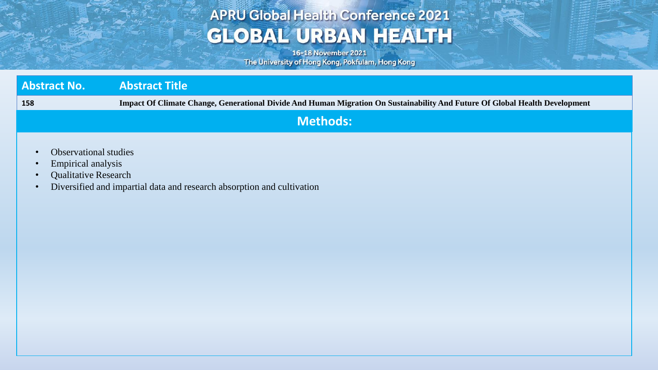## **APRU Global Health Conference 2021 GLOBAL URBAN HEALTH**

16-18 November 2021 The University of Hong Kong, Pokfulam, Hong Kong

**Age Avenue** 

| <b>Abstract No.</b> | <b>Abstract Title</b>                                                                                                       |
|---------------------|-----------------------------------------------------------------------------------------------------------------------------|
| 158                 | Impact Of Climate Change, Generational Divide And Human Migration On Sustainability And Future Of Global Health Development |
|                     | $\mathsf{I}$ Methods: $\mathsf{I}$                                                                                          |

- Observational studies
- Empirical analysis
- Qualitative Research
- Diversified and impartial data and research absorption and cultivation